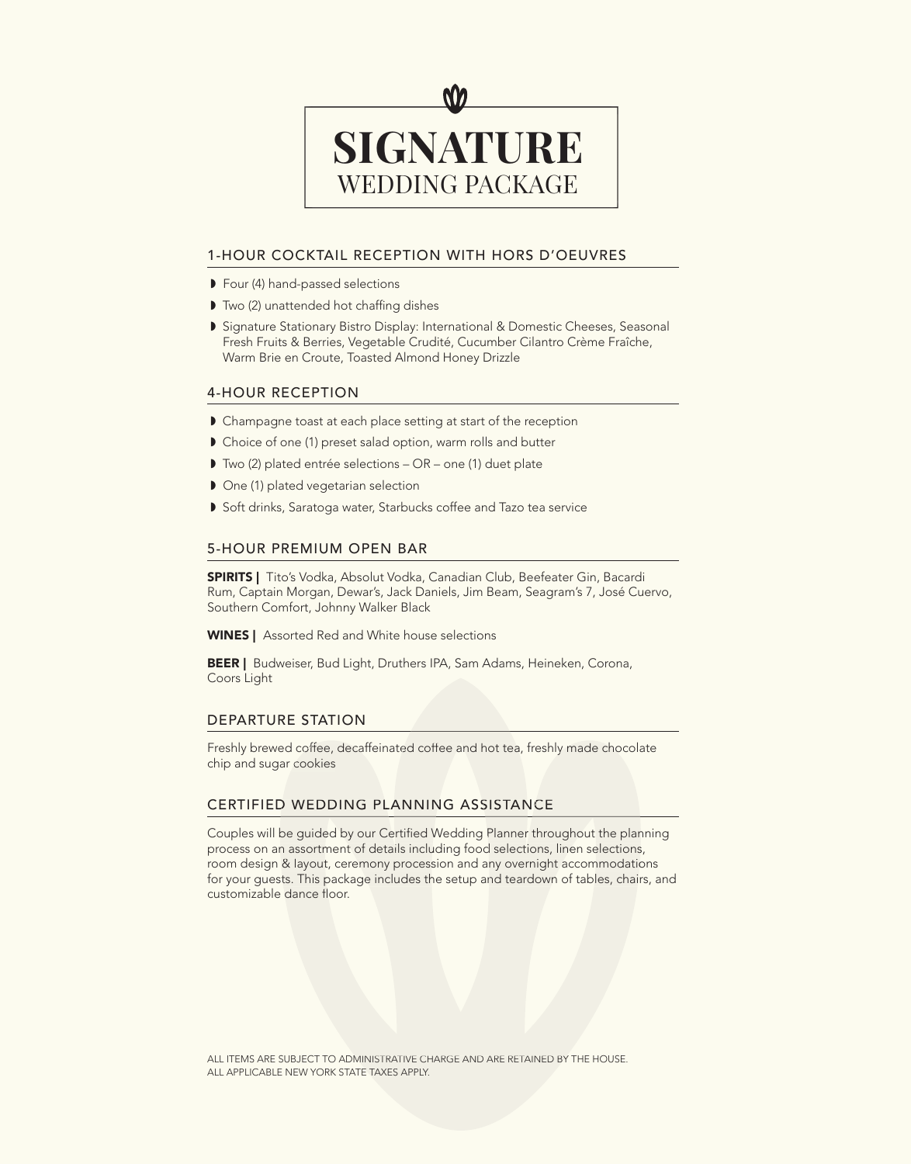

## 1-HOUR COCKTAIL RECEPTION WITH HORS D'OEUVRES

- ◗ Four (4) hand-passed selections
- Two (2) unattended hot chaffing dishes
- ◗ Signature Stationary Bistro Display: International & Domestic Cheeses, Seasonal Fresh Fruits & Berries, Vegetable Crudité, Cucumber Cilantro Crème Fraîche, Warm Brie en Croute, Toasted Almond Honey Drizzle

#### 4-HOUR RECEPTION

- Champagne toast at each place setting at start of the reception
- ◗ Choice of one (1) preset salad option, warm rolls and butter
- ◗ Two (2) plated entrée selections OR one (1) duet plate
- ◗ One (1) plated vegetarian selection
- ◗ Soft drinks, Saratoga water, Starbucks coffee and Tazo tea service

### 5-HOUR PREMIUM OPEN BAR

**SPIRITS** | Tito's Vodka, Absolut Vodka, Canadian Club, Beefeater Gin, Bacardi Rum, Captain Morgan, Dewar's, Jack Daniels, Jim Beam, Seagram's 7, José Cuervo, Southern Comfort, Johnny Walker Black

WINES | Assorted Red and White house selections

BEER | Budweiser, Bud Light, Druthers IPA, Sam Adams, Heineken, Corona, Coors Light

### DEPARTURE STATION

Freshly brewed coffee, decaffeinated coffee and hot tea, freshly made chocolate chip and sugar cookies

#### CERTIFIED WEDDING PLANNING ASSISTANCE

Couples will be guided by our Certified Wedding Planner throughout the planning process on an assortment of details including food selections, linen selections, room design & layout, ceremony procession and any overnight accommodations for your guests. This package includes the setup and teardown of tables, chairs, and customizable dance floor.

ALL ITEMS ARE SUBJECT TO ADMINISTRATIVE CHARGE AND ARE RETAINED BY THE HOUSE. ALL APPLICABLE NEW YORK STATE TAXES APPLY.